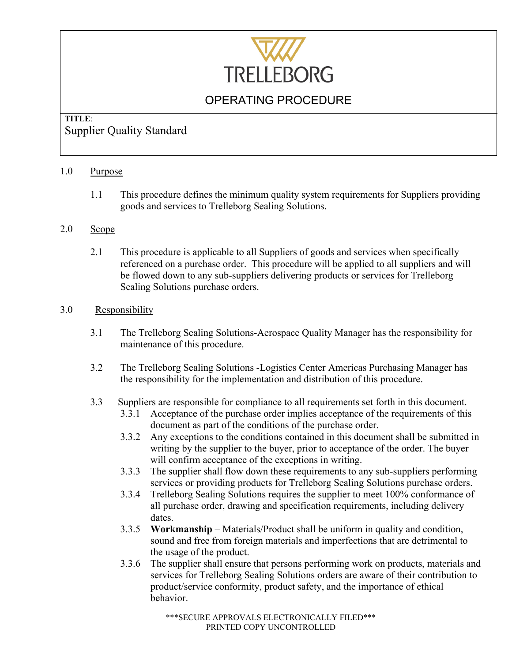

## **TITLE**: Supplier Quality Standard

#### 1.0 Purpose

1.1 This procedure defines the minimum quality system requirements for Suppliers providing goods and services to Trelleborg Sealing Solutions.

### 2.0 Scope

2.1 This procedure is applicable to all Suppliers of goods and services when specifically referenced on a purchase order. This procedure will be applied to all suppliers and will be flowed down to any sub-suppliers delivering products or services for Trelleborg Sealing Solutions purchase orders.

#### 3.0 Responsibility

- 3.1 The Trelleborg Sealing Solutions-Aerospace Quality Manager has the responsibility for maintenance of this procedure.
- 3.2 The Trelleborg Sealing Solutions -Logistics Center Americas Purchasing Manager has the responsibility for the implementation and distribution of this procedure.
- 3.3 Suppliers are responsible for compliance to all requirements set forth in this document.
	- 3.3.1 Acceptance of the purchase order implies acceptance of the requirements of this document as part of the conditions of the purchase order.
	- 3.3.2 Any exceptions to the conditions contained in this document shall be submitted in writing by the supplier to the buyer, prior to acceptance of the order. The buyer will confirm acceptance of the exceptions in writing.
	- 3.3.3 The supplier shall flow down these requirements to any sub-suppliers performing services or providing products for Trelleborg Sealing Solutions purchase orders.
	- 3.3.4 Trelleborg Sealing Solutions requires the supplier to meet 100% conformance of all purchase order, drawing and specification requirements, including delivery dates.
	- 3.3.5 **Workmanship**  Materials/Product shall be uniform in quality and condition, sound and free from foreign materials and imperfections that are detrimental to the usage of the product.
	- 3.3.6 The supplier shall ensure that persons performing work on products, materials and services for Trelleborg Sealing Solutions orders are aware of their contribution to product/service conformity, product safety, and the importance of ethical behavior.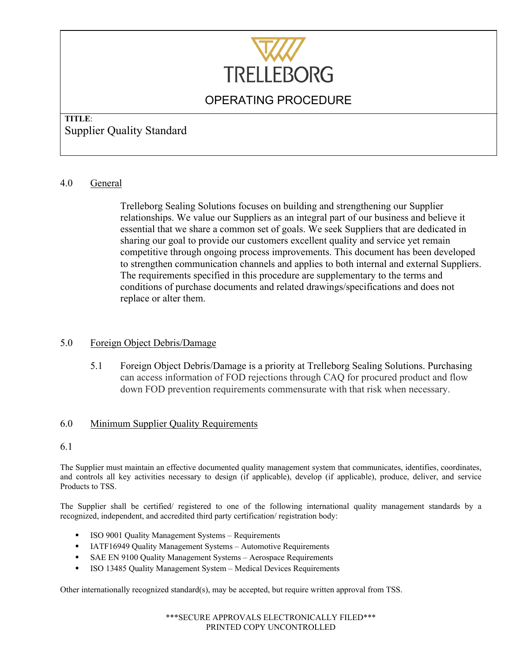

## **TITLE**: Supplier Quality Standard

### 4.0 General

Trelleborg Sealing Solutions focuses on building and strengthening our Supplier relationships. We value our Suppliers as an integral part of our business and believe it essential that we share a common set of goals. We seek Suppliers that are dedicated in sharing our goal to provide our customers excellent quality and service yet remain competitive through ongoing process improvements. This document has been developed to strengthen communication channels and applies to both internal and external Suppliers. The requirements specified in this procedure are supplementary to the terms and conditions of purchase documents and related drawings/specifications and does not replace or alter them.

### 5.0 Foreign Object Debris/Damage

5.1 Foreign Object Debris/Damage is a priority at Trelleborg Sealing Solutions. Purchasing can access information of FOD rejections through CAQ for procured product and flow down FOD prevention requirements commensurate with that risk when necessary.

### 6.0 Minimum Supplier Quality Requirements

#### 6.1

The Supplier must maintain an effective documented quality management system that communicates, identifies, coordinates, and controls all key activities necessary to design (if applicable), develop (if applicable), produce, deliver, and service Products to TSS.

The Supplier shall be certified/ registered to one of the following international quality management standards by a recognized, independent, and accredited third party certification/ registration body:

- ISO 9001 Quality Management Systems Requirements
- **IATF16949 Quality Management Systems Automotive Requirements**
- SAE EN 9100 Quality Management Systems Aerospace Requirements
- **ISO 13485 Quality Management System Medical Devices Requirements**

Other internationally recognized standard(s), may be accepted, but require written approval from TSS.

\*\*\*SECURE APPROVALS ELECTRONICALLY FILED\*\*\* PRINTED COPY UNCONTROLLED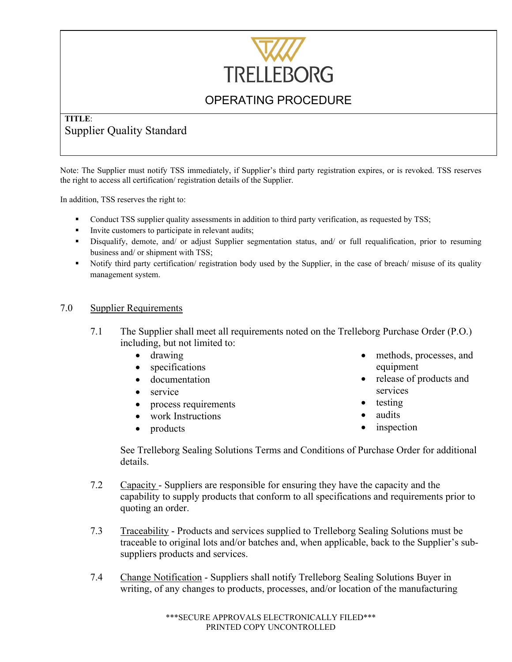

## **TITLE**: Supplier Quality Standard

Note: The Supplier must notify TSS immediately, if Supplier's third party registration expires, or is revoked. TSS reserves the right to access all certification/ registration details of the Supplier.

In addition, TSS reserves the right to:

- Conduct TSS supplier quality assessments in addition to third party verification, as requested by TSS;
- Invite customers to participate in relevant audits;
- Disqualify, demote, and/ or adjust Supplier segmentation status, and/ or full requalification, prior to resuming business and/ or shipment with TSS;
- Notify third party certification/ registration body used by the Supplier, in the case of breach/ misuse of its quality management system.

### 7.0 Supplier Requirements

- 7.1 The Supplier shall meet all requirements noted on the Trelleborg Purchase Order (P.O.) including, but not limited to:
	- drawing
	- specifications
	- documentation
	- service
	- process requirements
	- work Instructions
	- products
- methods, processes, and equipment
- release of products and services
- testing
- audits
- inspection

See Trelleborg Sealing Solutions Terms and Conditions of Purchase Order for additional details.

- 7.2 Capacity Suppliers are responsible for ensuring they have the capacity and the capability to supply products that conform to all specifications and requirements prior to quoting an order.
- 7.3 Traceability Products and services supplied to Trelleborg Sealing Solutions must be traceable to original lots and/or batches and, when applicable, back to the Supplier's subsuppliers products and services.
- 7.4 Change Notification Suppliers shall notify Trelleborg Sealing Solutions Buyer in writing, of any changes to products, processes, and/or location of the manufacturing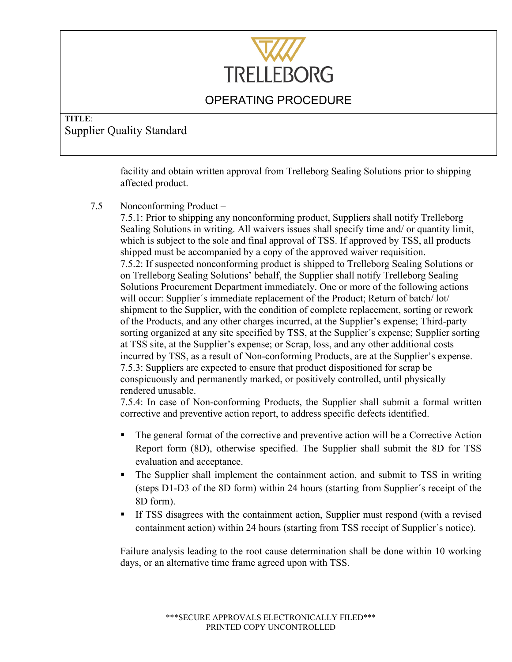

## **TITLE**: Supplier Quality Standard

facility and obtain written approval from Trelleborg Sealing Solutions prior to shipping affected product.

7.5 Nonconforming Product –

7.5.1: Prior to shipping any nonconforming product, Suppliers shall notify Trelleborg Sealing Solutions in writing. All waivers issues shall specify time and/ or quantity limit, which is subject to the sole and final approval of TSS. If approved by TSS, all products shipped must be accompanied by a copy of the approved waiver requisition. 7.5.2: If suspected nonconforming product is shipped to Trelleborg Sealing Solutions or on Trelleborg Sealing Solutions' behalf, the Supplier shall notify Trelleborg Sealing Solutions Procurement Department immediately. One or more of the following actions will occur: Supplier´s immediate replacement of the Product; Return of batch/ lot/ shipment to the Supplier, with the condition of complete replacement, sorting or rework of the Products, and any other charges incurred, at the Supplier's expense; Third-party sorting organized at any site specified by TSS, at the Supplier's expense; Supplier sorting at TSS site, at the Supplier's expense; or Scrap, loss, and any other additional costs incurred by TSS, as a result of Non-conforming Products, are at the Supplier's expense. 7.5.3: Suppliers are expected to ensure that product dispositioned for scrap be conspicuously and permanently marked, or positively controlled, until physically rendered unusable.

7.5.4: In case of Non-conforming Products, the Supplier shall submit a formal written corrective and preventive action report, to address specific defects identified.

- The general format of the corrective and preventive action will be a Corrective Action Report form (8D), otherwise specified. The Supplier shall submit the 8D for TSS evaluation and acceptance.
- The Supplier shall implement the containment action, and submit to TSS in writing (steps D1-D3 of the 8D form) within 24 hours (starting from Supplier´s receipt of the 8D form).
- If TSS disagrees with the containment action, Supplier must respond (with a revised containment action) within 24 hours (starting from TSS receipt of Supplier´s notice).

Failure analysis leading to the root cause determination shall be done within 10 working days, or an alternative time frame agreed upon with TSS.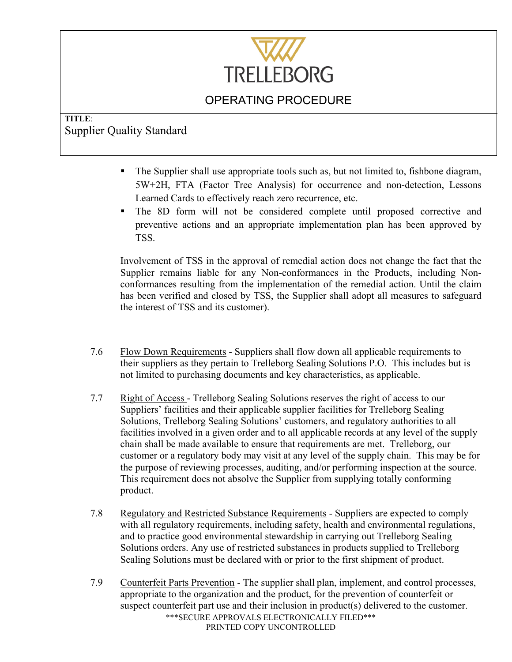

## **TITLE**: Supplier Quality Standard

- The Supplier shall use appropriate tools such as, but not limited to, fishbone diagram, 5W+2H, FTA (Factor Tree Analysis) for occurrence and non-detection, Lessons Learned Cards to effectively reach zero recurrence, etc.
- The 8D form will not be considered complete until proposed corrective and preventive actions and an appropriate implementation plan has been approved by TSS.

Involvement of TSS in the approval of remedial action does not change the fact that the Supplier remains liable for any Non-conformances in the Products, including Nonconformances resulting from the implementation of the remedial action. Until the claim has been verified and closed by TSS, the Supplier shall adopt all measures to safeguard the interest of TSS and its customer).

- 7.6 Flow Down Requirements Suppliers shall flow down all applicable requirements to their suppliers as they pertain to Trelleborg Sealing Solutions P.O. This includes but is not limited to purchasing documents and key characteristics, as applicable.
- 7.7 Right of Access Trelleborg Sealing Solutions reserves the right of access to our Suppliers' facilities and their applicable supplier facilities for Trelleborg Sealing Solutions, Trelleborg Sealing Solutions' customers, and regulatory authorities to all facilities involved in a given order and to all applicable records at any level of the supply chain shall be made available to ensure that requirements are met. Trelleborg, our customer or a regulatory body may visit at any level of the supply chain. This may be for the purpose of reviewing processes, auditing, and/or performing inspection at the source. This requirement does not absolve the Supplier from supplying totally conforming product.
- 7.8 Regulatory and Restricted Substance Requirements Suppliers are expected to comply with all regulatory requirements, including safety, health and environmental regulations, and to practice good environmental stewardship in carrying out Trelleborg Sealing Solutions orders. Any use of restricted substances in products supplied to Trelleborg Sealing Solutions must be declared with or prior to the first shipment of product.
- \*\*\*SECURE APPROVALS ELECTRONICALLY FILED\*\*\* PRINTED COPY UNCONTROLLED 7.9 Counterfeit Parts Prevention - The supplier shall plan, implement, and control processes, appropriate to the organization and the product, for the prevention of counterfeit or suspect counterfeit part use and their inclusion in product(s) delivered to the customer.